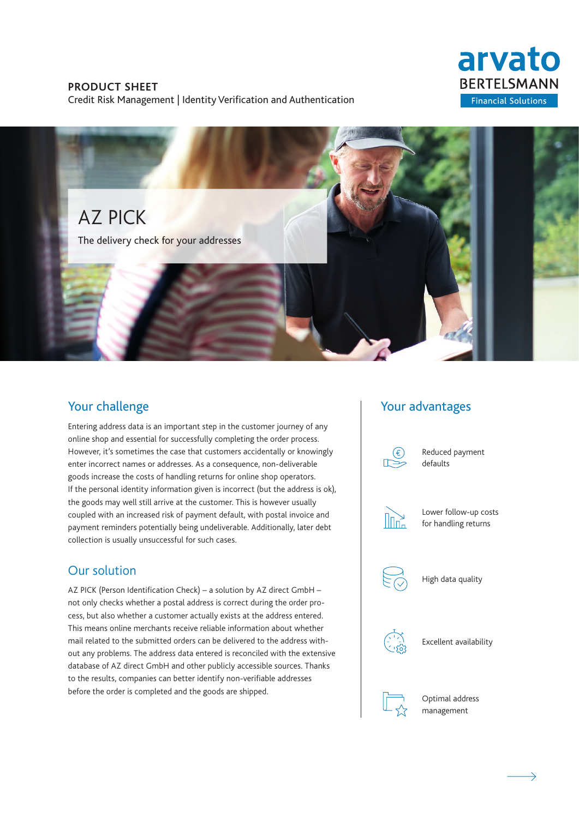### **PRODUCT SHEET**

Credit Risk Management | Identity Verification and Authentication

# arvato **BERTELSMANN Financial Solutions**



### Your challenge

Entering address data is an important step in the customer journey of any online shop and essential for successfully completing the order process. However, it's sometimes the case that customers accidentally or knowingly enter incorrect names or addresses. As a consequence, non-deliverable goods increase the costs of handling returns for online shop operators. If the personal identity information given is incorrect (but the address is ok), the goods may well still arrive at the customer. This is however usually coupled with an increased risk of payment default, with postal invoice and payment reminders potentially being undeliverable. Additionally, later debt collection is usually unsuccessful for such cases.

### Our solution

AZ PICK (Person Identification Check) – a solution by AZ direct GmbH – not only checks whether a postal address is correct during the order process, but also whether a customer actually exists at the address entered. This means online merchants receive reliable information about whether mail related to the submitted orders can be delivered to the address without any problems. The address data entered is reconciled with the extensive database of AZ direct GmbH and other publicly accessible sources. Thanks to the results, companies can better identify non-verifiable addresses before the order is completed and the goods are shipped.

### Your advantages



Reduced payment defaults



Lower follow-up costs for handling returns



High data quality



Excellent availability



Optimal address management